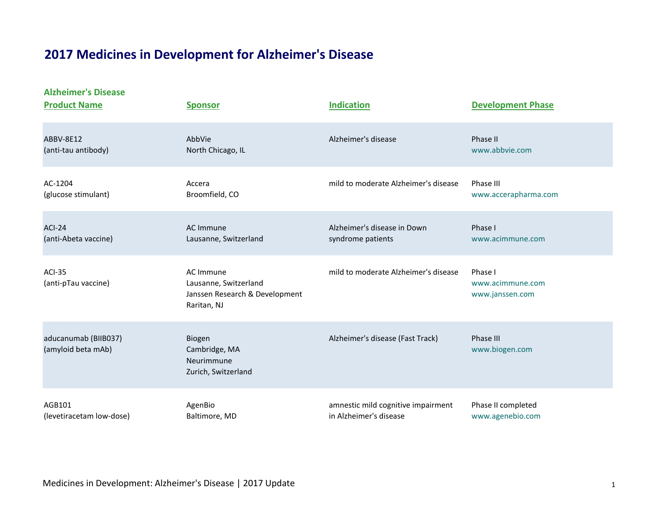## **2017 Medicines in Development for Alzheimer's Disease**

**Alzheimer's Disease**

| <b>Product Name</b>                        | <b>Sponsor</b>                                                                      | <b>Indication</b>                    | <b>Development Phase</b>                       |
|--------------------------------------------|-------------------------------------------------------------------------------------|--------------------------------------|------------------------------------------------|
| ABBV-8E12                                  | AbbVie                                                                              | Alzheimer's disease                  | Phase II                                       |
| (anti-tau antibody)                        | North Chicago, IL                                                                   |                                      | www.abbvie.com                                 |
| AC-1204                                    | Accera                                                                              | mild to moderate Alzheimer's disease | Phase III                                      |
| (glucose stimulant)                        | Broomfield, CO                                                                      |                                      | www.accerapharma.com                           |
| <b>ACI-24</b>                              | AC Immune                                                                           | Alzheimer's disease in Down          | Phase I                                        |
| (anti-Abeta vaccine)                       | Lausanne, Switzerland                                                               | syndrome patients                    | www.acimmune.com                               |
| <b>ACI-35</b><br>(anti-pTau vaccine)       | AC Immune<br>Lausanne, Switzerland<br>Janssen Research & Development<br>Raritan, NJ | mild to moderate Alzheimer's disease | Phase I<br>www.acimmune.com<br>www.janssen.com |
| aducanumab (BIIB037)<br>(amyloid beta mAb) | Biogen<br>Cambridge, MA<br>Neurimmune<br>Zurich, Switzerland                        | Alzheimer's disease (Fast Track)     | Phase III<br>www.biogen.com                    |
| AGB101                                     | AgenBio                                                                             | amnestic mild cognitive impairment   | Phase II completed                             |
| (levetiracetam low-dose)                   | Baltimore, MD                                                                       | in Alzheimer's disease               | www.agenebio.com                               |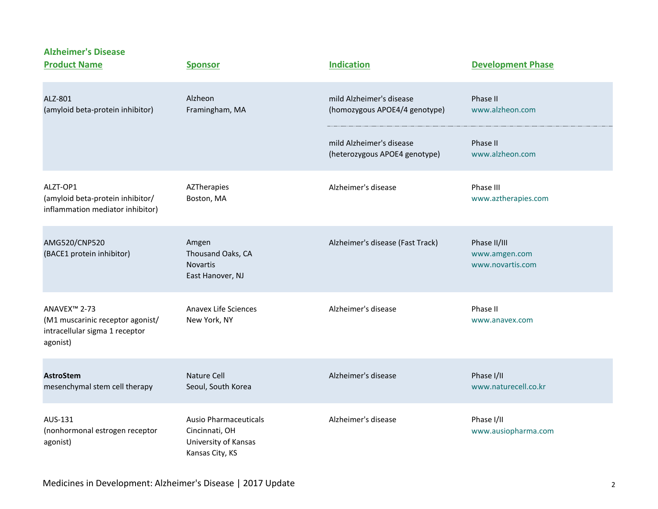**Alzheimer's Disease Product Name Sponsor Sponsor Indication Development Phase** ALZ-801 Alzheon mild Alzheimer's disease Phase II (amyloid beta-protein inhibitor) Framingham, MA (homozygous APOE4/4 genotype) [www.alzheon.com](http://www.alzheon.com/) mild Alzheimer's disease Phase II (heterozygous APOE4 genotype) [www.alzheon.com](http://www.alzheon.com/) ALZT-OP1 AZTherapies Alzheimer's disease Phase III (amyloid beta-protein inhibitor/ Boston, MA [www.aztherapies.com](http://www.aztherapies.com/) inflammation mediator inhibitor) AMG520/CNP520 Amgen Amgen Amgen Alzheimer's disease (Fast Track) Phase II/III (BACE1 protein inhibitor) Thousand Oaks, CA [www.amgen.com](http://www.amgen.com/) Novartis [www.novartis.com](http://www.novartis.com/) East Hanover, NJ ANAVEX™ 2-73 Anavex Life Sciences Alzheimer's disease Phase II (M1 muscarinic receptor agonist/ New York, NY [www.anavex.com](http://www.anavex.com/) www.anavex.com intracellular sigma 1 receptor agonist) **AstroStem Nature Cell** Alzheimer's disease **Phase I/II** Phase I/II mesenchymal stem cell therapy Seoul, South Korea [www.naturecell.co.kr](http://www.naturecell.co.kr/) AUS-131 Ausio Pharmaceuticals Alzheimer's disease Phase I/II (nonhormonal estrogen receptor Cincinnati, OH [www.ausiopharma.com](http://www.ausiopharma.com/) agonist) University of Kansas Kansas City, KS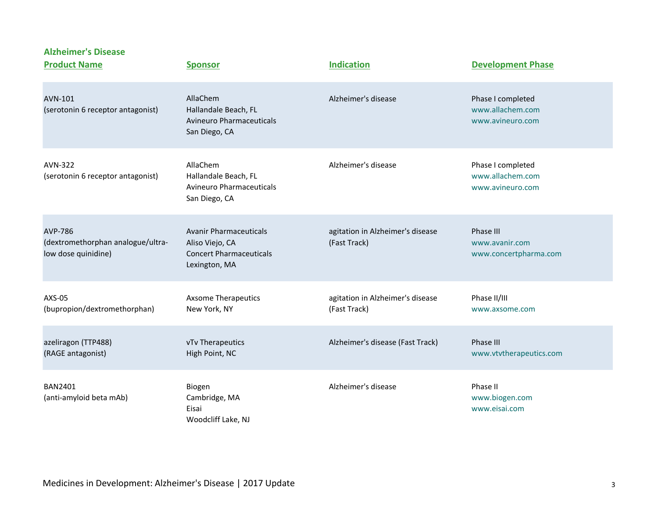| <b>Product Name</b>                                                        | <b>Sponsor</b>                                                                                      | <b>Indication</b>                                | <b>Development Phase</b>                                  |
|----------------------------------------------------------------------------|-----------------------------------------------------------------------------------------------------|--------------------------------------------------|-----------------------------------------------------------|
| AVN-101<br>(serotonin 6 receptor antagonist)                               | AllaChem<br>Hallandale Beach, FL<br><b>Avineuro Pharmaceuticals</b><br>San Diego, CA                | Alzheimer's disease                              | Phase I completed<br>www.allachem.com<br>www.avineuro.com |
| AVN-322<br>(serotonin 6 receptor antagonist)                               | AllaChem<br>Hallandale Beach, FL<br><b>Avineuro Pharmaceuticals</b><br>San Diego, CA                | Alzheimer's disease                              | Phase I completed<br>www.allachem.com<br>www.avineuro.com |
| <b>AVP-786</b><br>(dextromethorphan analogue/ultra-<br>low dose quinidine) | <b>Avanir Pharmaceuticals</b><br>Aliso Viejo, CA<br><b>Concert Pharmaceuticals</b><br>Lexington, MA | agitation in Alzheimer's disease<br>(Fast Track) | Phase III<br>www.avanir.com<br>www.concertpharma.com      |
| AXS-05<br>(bupropion/dextromethorphan)                                     | <b>Axsome Therapeutics</b><br>New York, NY                                                          | agitation in Alzheimer's disease<br>(Fast Track) | Phase II/III<br>www.axsome.com                            |
| azeliragon (TTP488)<br>(RAGE antagonist)                                   | vTv Therapeutics<br>High Point, NC                                                                  | Alzheimer's disease (Fast Track)                 | Phase III<br>www.vtvtherapeutics.com                      |
| <b>BAN2401</b><br>(anti-amyloid beta mAb)                                  | Biogen<br>Cambridge, MA<br>Eisai<br>Woodcliff Lake, NJ                                              | Alzheimer's disease                              | Phase II<br>www.biogen.com<br>www.eisai.com               |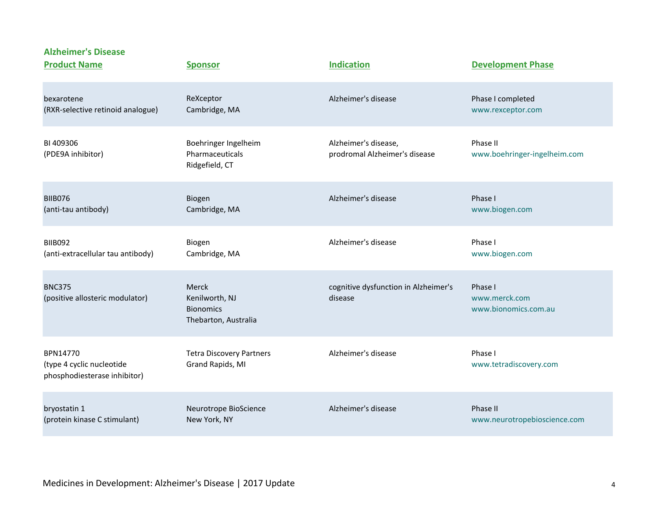| <b>Product Name</b>                                                   | <b>Sponsor</b>                                                      | <b>Indication</b>                                     | <b>Development Phase</b>                         |
|-----------------------------------------------------------------------|---------------------------------------------------------------------|-------------------------------------------------------|--------------------------------------------------|
| bexarotene                                                            | ReXceptor                                                           | Alzheimer's disease                                   | Phase I completed                                |
| (RXR-selective retinoid analogue)                                     | Cambridge, MA                                                       |                                                       | www.rexceptor.com                                |
| BI 409306<br>(PDE9A inhibitor)                                        | Boehringer Ingelheim<br>Pharmaceuticals<br>Ridgefield, CT           | Alzheimer's disease,<br>prodromal Alzheimer's disease | Phase II<br>www.boehringer-ingelheim.com         |
| <b>BIIB076</b>                                                        | Biogen                                                              | Alzheimer's disease                                   | Phase I                                          |
| (anti-tau antibody)                                                   | Cambridge, MA                                                       |                                                       | www.biogen.com                                   |
| <b>BIIB092</b>                                                        | Biogen                                                              | Alzheimer's disease                                   | Phase I                                          |
| (anti-extracellular tau antibody)                                     | Cambridge, MA                                                       |                                                       | www.biogen.com                                   |
| <b>BNC375</b><br>(positive allosteric modulator)                      | Merck<br>Kenilworth, NJ<br><b>Bionomics</b><br>Thebarton, Australia | cognitive dysfunction in Alzheimer's<br>disease       | Phase I<br>www.merck.com<br>www.bionomics.com.au |
| BPN14770<br>(type 4 cyclic nucleotide<br>phosphodiesterase inhibitor) | <b>Tetra Discovery Partners</b><br>Grand Rapids, MI                 | Alzheimer's disease                                   | Phase I<br>www.tetradiscovery.com                |
| bryostatin 1                                                          | Neurotrope BioScience                                               | Alzheimer's disease                                   | Phase II                                         |
| (protein kinase C stimulant)                                          | New York, NY                                                        |                                                       | www.neurotropebioscience.com                     |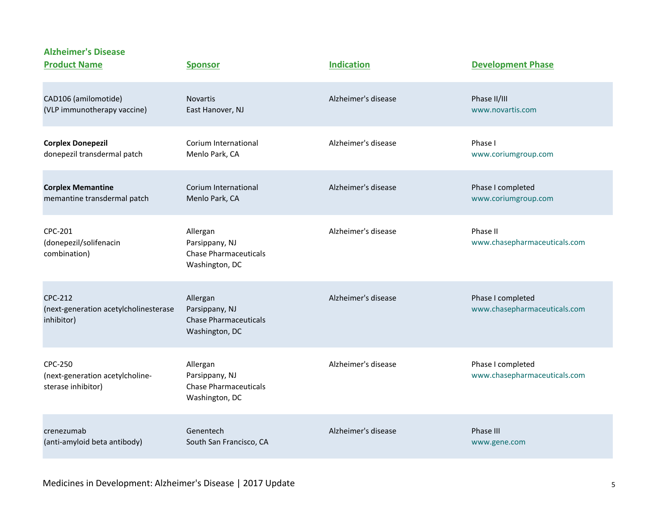| <b>Product Name</b>                                                     | <b>Sponsor</b>                                                               | <b>Indication</b>   | <b>Development Phase</b>                          |
|-------------------------------------------------------------------------|------------------------------------------------------------------------------|---------------------|---------------------------------------------------|
| CAD106 (amilomotide)                                                    | <b>Novartis</b>                                                              | Alzheimer's disease | Phase II/III                                      |
| (VLP immunotherapy vaccine)                                             | East Hanover, NJ                                                             |                     | www.novartis.com                                  |
| <b>Corplex Donepezil</b>                                                | Corium International                                                         | Alzheimer's disease | Phase I                                           |
| donepezil transdermal patch                                             | Menlo Park, CA                                                               |                     | www.coriumgroup.com                               |
| <b>Corplex Memantine</b>                                                | Corium International                                                         | Alzheimer's disease | Phase I completed                                 |
| memantine transdermal patch                                             | Menlo Park, CA                                                               |                     | www.coriumgroup.com                               |
| CPC-201<br>(donepezil/solifenacin<br>combination)                       | Allergan<br>Parsippany, NJ<br><b>Chase Pharmaceuticals</b><br>Washington, DC | Alzheimer's disease | Phase II<br>www.chasepharmaceuticals.com          |
| CPC-212<br>(next-generation acetylcholinesterase<br>inhibitor)          | Allergan<br>Parsippany, NJ<br><b>Chase Pharmaceuticals</b><br>Washington, DC | Alzheimer's disease | Phase I completed<br>www.chasepharmaceuticals.com |
| <b>CPC-250</b><br>(next-generation acetylcholine-<br>sterase inhibitor) | Allergan<br>Parsippany, NJ<br><b>Chase Pharmaceuticals</b><br>Washington, DC | Alzheimer's disease | Phase I completed<br>www.chasepharmaceuticals.com |
| crenezumab                                                              | Genentech                                                                    | Alzheimer's disease | Phase III                                         |
| (anti-amyloid beta antibody)                                            | South San Francisco, CA                                                      |                     | www.gene.com                                      |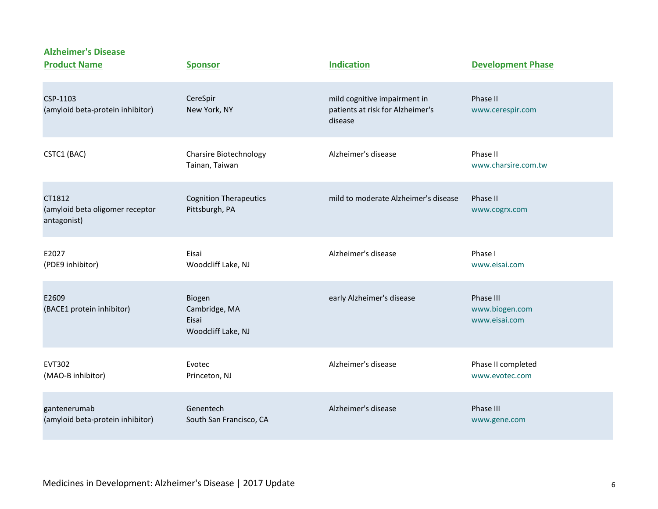| <b>Product Name</b>                                      | <b>Sponsor</b>                                         | <b>Indication</b>                                                           | <b>Development Phase</b>                     |
|----------------------------------------------------------|--------------------------------------------------------|-----------------------------------------------------------------------------|----------------------------------------------|
| CSP-1103<br>(amyloid beta-protein inhibitor)             | CereSpir<br>New York, NY                               | mild cognitive impairment in<br>patients at risk for Alzheimer's<br>disease | Phase II<br>www.cerespir.com                 |
| CSTC1 (BAC)                                              | <b>Charsire Biotechnology</b><br>Tainan, Taiwan        | Alzheimer's disease                                                         | Phase II<br>www.charsire.com.tw              |
| CT1812<br>(amyloid beta oligomer receptor<br>antagonist) | <b>Cognition Therapeutics</b><br>Pittsburgh, PA        | mild to moderate Alzheimer's disease                                        | Phase II<br>www.cogrx.com                    |
| E2027<br>(PDE9 inhibitor)                                | Eisai<br>Woodcliff Lake, NJ                            | Alzheimer's disease                                                         | Phase I<br>www.eisai.com                     |
| E2609<br>(BACE1 protein inhibitor)                       | Biogen<br>Cambridge, MA<br>Eisai<br>Woodcliff Lake, NJ | early Alzheimer's disease                                                   | Phase III<br>www.biogen.com<br>www.eisai.com |
| <b>EVT302</b><br>(MAO-B inhibitor)                       | Evotec<br>Princeton, NJ                                | Alzheimer's disease                                                         | Phase II completed<br>www.evotec.com         |
| gantenerumab<br>(amyloid beta-protein inhibitor)         | Genentech<br>South San Francisco, CA                   | Alzheimer's disease                                                         | Phase III<br>www.gene.com                    |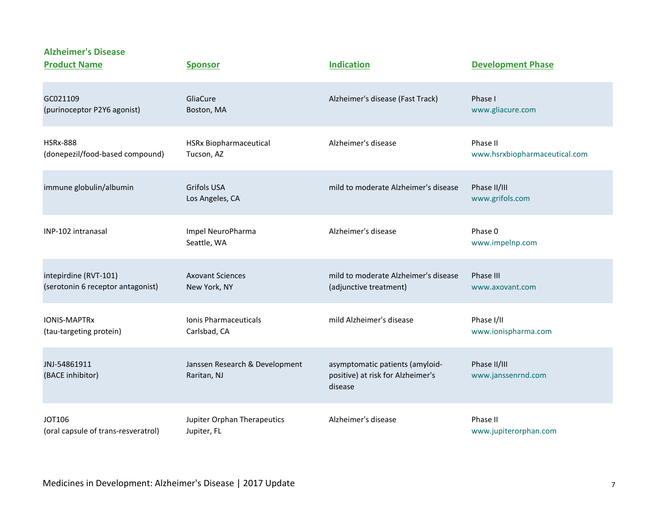| <b>Product Name</b>                 | <b>Sponsor</b>                                | <b>Indication</b>                                                               | <b>Development Phase</b>           |
|-------------------------------------|-----------------------------------------------|---------------------------------------------------------------------------------|------------------------------------|
| GC021109                            | GliaCure                                      | Alzheimer's disease (Fast Track)                                                | Phase I                            |
| (purinoceptor P2Y6 agonist)         | Boston, MA                                    |                                                                                 | www.gliacure.com                   |
| <b>HSRx-888</b>                     | <b>HSRx Biopharmaceutical</b>                 | Alzheimer's disease                                                             | Phase II                           |
| (donepezil/food-based compound)     | Tucson, AZ                                    |                                                                                 | www.hsrxbiopharmaceutical.com      |
| immune globulin/albumin             | <b>Grifols USA</b><br>Los Angeles, CA         | mild to moderate Alzheimer's disease                                            | Phase II/III<br>www.grifols.com    |
| INP-102 intranasal                  | Impel NeuroPharma<br>Seattle, WA              | Alzheimer's disease                                                             | Phase 0<br>www.impelnp.com         |
| intepirdine (RVT-101)               | <b>Axovant Sciences</b>                       | mild to moderate Alzheimer's disease                                            | Phase III                          |
| (serotonin 6 receptor antagonist)   | New York, NY                                  | (adjunctive treatment)                                                          | www.axovant.com                    |
| <b>IONIS-MAPTRx</b>                 | <b>Ionis Pharmaceuticals</b>                  | mild Alzheimer's disease                                                        | Phase I/II                         |
| (tau-targeting protein)             | Carlsbad, CA                                  |                                                                                 | www.ionispharma.com                |
| JNJ-54861911<br>(BACE inhibitor)    | Janssen Research & Development<br>Raritan, NJ | asymptomatic patients (amyloid-<br>positive) at risk for Alzheimer's<br>disease | Phase II/III<br>www.janssenrnd.com |
| <b>JOT106</b>                       | Jupiter Orphan Therapeutics                   | Alzheimer's disease                                                             | Phase II                           |
| (oral capsule of trans-resveratrol) | Jupiter, FL                                   |                                                                                 | www.jupiterorphan.com              |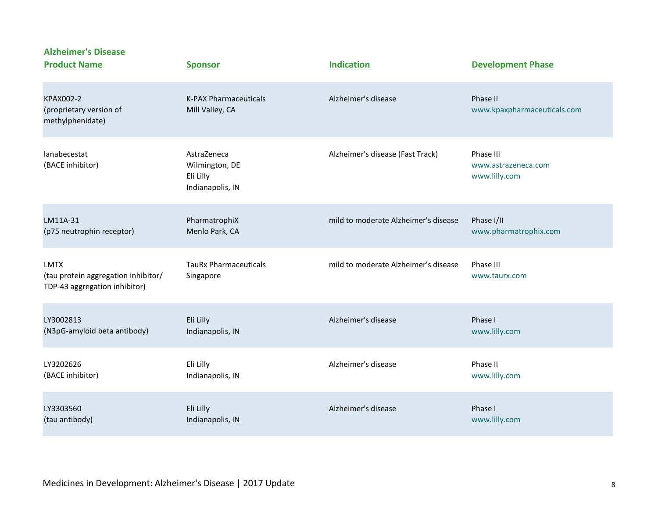| <b>Alzheimer's Disease</b><br><b>Product Name</b>                                   | <b>Sponsor</b>                                                 | <b>Indication</b>                    | <b>Development Phase</b>                          |
|-------------------------------------------------------------------------------------|----------------------------------------------------------------|--------------------------------------|---------------------------------------------------|
| <b>KPAX002-2</b><br>(proprietary version of<br>methylphenidate)                     | <b>K-PAX Pharmaceuticals</b><br>Mill Valley, CA                | Alzheimer's disease                  | Phase II<br>www.kpaxpharmaceuticals.com           |
| lanabecestat<br>(BACE inhibitor)                                                    | AstraZeneca<br>Wilmington, DE<br>Eli Lilly<br>Indianapolis, IN | Alzheimer's disease (Fast Track)     | Phase III<br>www.astrazeneca.com<br>www.lilly.com |
| LM11A-31                                                                            | PharmatrophiX                                                  | mild to moderate Alzheimer's disease | Phase I/II                                        |
| (p75 neutrophin receptor)                                                           | Menlo Park, CA                                                 |                                      | www.pharmatrophix.com                             |
| <b>LMTX</b><br>(tau protein aggregation inhibitor/<br>TDP-43 aggregation inhibitor) | <b>TauRx Pharmaceuticals</b><br>Singapore                      | mild to moderate Alzheimer's disease | Phase III<br>www.taurx.com                        |
| LY3002813                                                                           | Eli Lilly                                                      | Alzheimer's disease                  | Phase I                                           |
| (N3pG-amyloid beta antibody)                                                        | Indianapolis, IN                                               |                                      | www.lilly.com                                     |
| LY3202626                                                                           | Eli Lilly                                                      | Alzheimer's disease                  | Phase II                                          |
| (BACE inhibitor)                                                                    | Indianapolis, IN                                               |                                      | www.lilly.com                                     |
| LY3303560                                                                           | Eli Lilly                                                      | Alzheimer's disease                  | Phase I                                           |
| (tau antibody)                                                                      | Indianapolis, IN                                               |                                      | www.lilly.com                                     |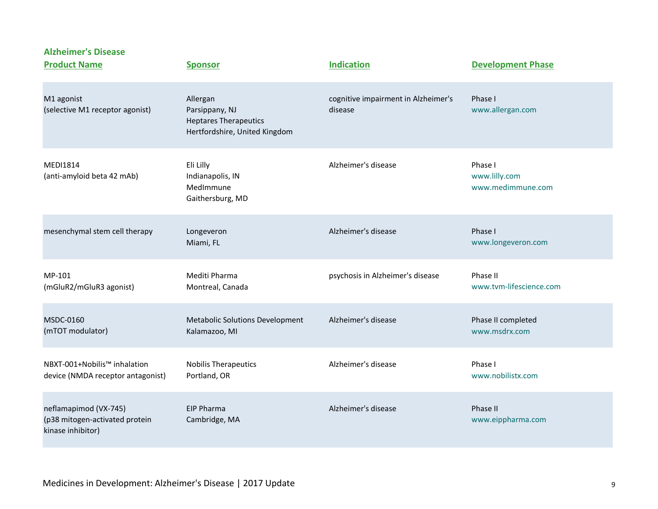**Product Name Sponsor Sponsor Indication Development Phase** M1 agonist **Allergan** Allergan Cognitive impairment in Alzheimer's Phase I (selective M1 receptor agonist) Parsippany, NJ disease [www.allergan.com](http://www.allergan.com/) Heptares Therapeutics Hertfordshire, United Kingdom MEDI1814 Eli Lilly Alzheimer's disease Phase I (anti-amyloid beta 42 mAb) Indianapolis, IN and the set of the set of the set of the [www.lilly.com](http://www.lilly.com/) (anti-amyloid beta 42 mAb) MedImmune [www.medimmune.com](http://www.medimmune.com/) Gaithersburg, MD mesenchymal stem cell therapy being a longeveron and alzheimer's disease and alzheimer's disease Phase I Miami, FL [www.longeveron.com](http://www.longeveron.com/) MP-101 Mediti Pharma psychosis in Alzheimer's disease Phase II (mGluR2/mGluR3 agonist) Montreal, Canada [www.tvm-lifescience.com](http://www.tvm-lifescience.com/) MSDC-0160 Metabolic Solutions Development Alzheimer's disease Phase II completed (mTOT modulator) Kalamazoo, MI [www.msdrx.com](http://www.msdrx.com/) NBXT-001+Nobilis™ inhalation Nobilis Therapeutics Alzheimer's disease Phase I device (NMDA receptor antagonist) Portland, OR [www.nobilistx.com](http://www.nobilistx.com/) neflamapimod (VX-745) **EIP Pharma EIP Pharma** Alzheimer's disease Phase II (p38 mitogen-activated protein Cambridge, MA [www.eippharma.com](http://www.eippharma.com/) kinase inhibitor)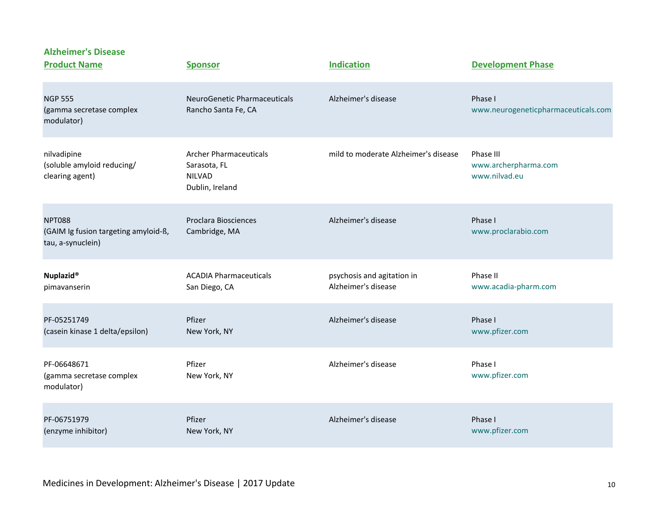| <b>Alzheimer's Disease</b><br><b>Product Name</b>                          | <b>Sponsor</b>                                                                    | <b>Indication</b>                                 | <b>Development Phase</b>                           |
|----------------------------------------------------------------------------|-----------------------------------------------------------------------------------|---------------------------------------------------|----------------------------------------------------|
| <b>NGP 555</b><br>(gamma secretase complex<br>modulator)                   | <b>NeuroGenetic Pharmaceuticals</b><br>Rancho Santa Fe, CA                        | Alzheimer's disease                               | Phase I<br>www.neurogeneticpharmaceuticals.com     |
| nilvadipine<br>(soluble amyloid reducing/<br>clearing agent)               | <b>Archer Pharmaceuticals</b><br>Sarasota, FL<br><b>NILVAD</b><br>Dublin, Ireland | mild to moderate Alzheimer's disease              | Phase III<br>www.archerpharma.com<br>www.nilvad.eu |
| <b>NPT088</b><br>(GAIM Ig fusion targeting amyloid-ß,<br>tau, a-synuclein) | <b>Proclara Biosciences</b><br>Cambridge, MA                                      | Alzheimer's disease                               | Phase I<br>www.proclarabio.com                     |
| Nuplazid®<br>pimavanserin                                                  | <b>ACADIA Pharmaceuticals</b><br>San Diego, CA                                    | psychosis and agitation in<br>Alzheimer's disease | Phase II<br>www.acadia-pharm.com                   |
| PF-05251749<br>(casein kinase 1 delta/epsilon)                             | Pfizer<br>New York, NY                                                            | Alzheimer's disease                               | Phase I<br>www.pfizer.com                          |
| PF-06648671<br>(gamma secretase complex<br>modulator)                      | Pfizer<br>New York, NY                                                            | Alzheimer's disease                               | Phase I<br>www.pfizer.com                          |
| PF-06751979<br>(enzyme inhibitor)                                          | Pfizer<br>New York, NY                                                            | Alzheimer's disease                               | Phase I<br>www.pfizer.com                          |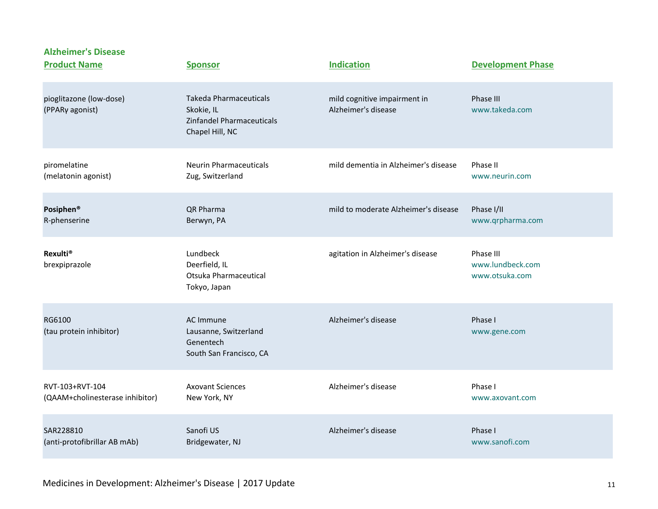| <b>Product Name</b>                        | <b>Sponsor</b>                                                                              | <b>Indication</b>                                   | <b>Development Phase</b>                        |
|--------------------------------------------|---------------------------------------------------------------------------------------------|-----------------------------------------------------|-------------------------------------------------|
| pioglitazone (low-dose)<br>(PPARy agonist) | <b>Takeda Pharmaceuticals</b><br>Skokie, IL<br>Zinfandel Pharmaceuticals<br>Chapel Hill, NC | mild cognitive impairment in<br>Alzheimer's disease | Phase III<br>www.takeda.com                     |
| piromelatine                               | <b>Neurin Pharmaceuticals</b>                                                               | mild dementia in Alzheimer's disease                | Phase II                                        |
| (melatonin agonist)                        | Zug, Switzerland                                                                            |                                                     | www.neurin.com                                  |
| Posiphen <sup>®</sup>                      | QR Pharma                                                                                   | mild to moderate Alzheimer's disease                | Phase I/II                                      |
| R-phenserine                               | Berwyn, PA                                                                                  |                                                     | www.qrpharma.com                                |
| <b>Rexulti®</b><br>brexpiprazole           | Lundbeck<br>Deerfield, IL<br>Otsuka Pharmaceutical<br>Tokyo, Japan                          | agitation in Alzheimer's disease                    | Phase III<br>www.lundbeck.com<br>www.otsuka.com |
| RG6100<br>(tau protein inhibitor)          | AC Immune<br>Lausanne, Switzerland<br>Genentech<br>South San Francisco, CA                  | Alzheimer's disease                                 | Phase I<br>www.gene.com                         |
| RVT-103+RVT-104                            | <b>Axovant Sciences</b>                                                                     | Alzheimer's disease                                 | Phase I                                         |
| (QAAM+cholinesterase inhibitor)            | New York, NY                                                                                |                                                     | www.axovant.com                                 |
| SAR228810                                  | Sanofi US                                                                                   | Alzheimer's disease                                 | Phase I                                         |
| (anti-protofibrillar AB mAb)               | Bridgewater, NJ                                                                             |                                                     | www.sanofi.com                                  |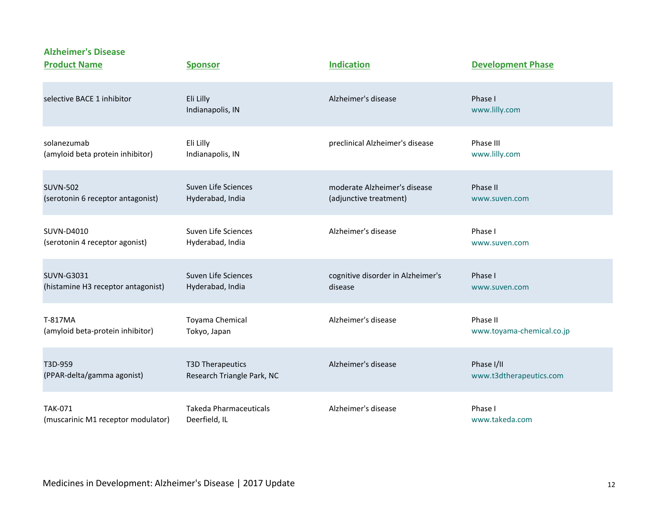| <b>Product Name</b>                | <b>Sponsor</b>                | <b>Indication</b>                 | <b>Development Phase</b>  |
|------------------------------------|-------------------------------|-----------------------------------|---------------------------|
| selective BACE 1 inhibitor         | Eli Lilly<br>Indianapolis, IN | Alzheimer's disease               | Phase I<br>www.lilly.com  |
| solanezumab                        | Eli Lilly                     | preclinical Alzheimer's disease   | Phase III                 |
| (amyloid beta protein inhibitor)   | Indianapolis, IN              |                                   | www.lilly.com             |
| <b>SUVN-502</b>                    | Suven Life Sciences           | moderate Alzheimer's disease      | Phase II                  |
| (serotonin 6 receptor antagonist)  | Hyderabad, India              | (adjunctive treatment)            | www.suven.com             |
| SUVN-D4010                         | Suven Life Sciences           | Alzheimer's disease               | Phase I                   |
| (serotonin 4 receptor agonist)     | Hyderabad, India              |                                   | www.suven.com             |
| SUVN-G3031                         | Suven Life Sciences           | cognitive disorder in Alzheimer's | Phase I                   |
| (histamine H3 receptor antagonist) | Hyderabad, India              | disease                           | www.suven.com             |
| T-817MA                            | Toyama Chemical               | Alzheimer's disease               | Phase II                  |
| (amyloid beta-protein inhibitor)   | Tokyo, Japan                  |                                   | www.toyama-chemical.co.jp |
| T3D-959                            | <b>T3D Therapeutics</b>       | Alzheimer's disease               | Phase I/II                |
| (PPAR-delta/gamma agonist)         | Research Triangle Park, NC    |                                   | www.t3dtherapeutics.com   |
| <b>TAK-071</b>                     | <b>Takeda Pharmaceuticals</b> | Alzheimer's disease               | Phase I                   |
| (muscarinic M1 receptor modulator) | Deerfield, IL                 |                                   | www.takeda.com            |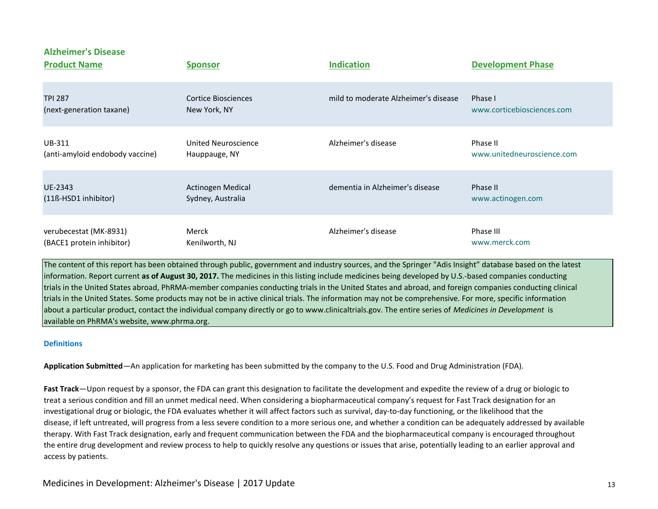| <b>Product Name</b>             | <b>Sponsor</b>      | <b>Indication</b>                    | <b>Development Phase</b>   |
|---------------------------------|---------------------|--------------------------------------|----------------------------|
| <b>TPI 287</b>                  | Cortice Biosciences | mild to moderate Alzheimer's disease | Phase I                    |
| (next-generation taxane)        | New York, NY        |                                      | www.corticebiosciences.com |
| UB-311                          | United Neuroscience | Alzheimer's disease                  | Phase II                   |
| (anti-amyloid endobody vaccine) | Hauppauge, NY       |                                      | www.unitedneuroscience.com |
| UE-2343                         | Actinogen Medical   | dementia in Alzheimer's disease      | Phase II                   |
| (11ß-HSD1 inhibitor)            | Sydney, Australia   |                                      | www.actinogen.com          |
| verubecestat (MK-8931)          | Merck               | Alzheimer's disease                  | Phase III                  |
| (BACE1 protein inhibitor)       | Kenilworth, NJ      |                                      | www.merck.com              |

The content of this report has been obtained through public, government and industry sources, and the Springer "Adis Insight" database based on the latest information. Report current **as of August 30, 2017.** The medicines in this listing include medicines being developed by U.S.-based companies conducting trials in the United States abroad, PhRMA-member companies conducting trials in the United States and abroad, and foreign companies conducting clinical trials in the United States. Some products may not be in active clinical trials. The information may not be comprehensive. For more, specific information about a particular product, contact the individual company directly or go to www.clinicaltrials.gov. The entire series of *Medicines in Development* is available on PhRMA's website, www.phrma.org.

## **Definitions**

**Application Submitted**—An application for marketing has been submitted by the company to the U.S. Food and Drug Administration (FDA).

**Fast Track**—Upon request by a sponsor, the FDA can grant this designation to facilitate the development and expedite the review of a drug or biologic to treat a serious condition and fill an unmet medical need. When considering a biopharmaceutical company's request for Fast Track designation for an investigational drug or biologic, the FDA evaluates whether it will affect factors such as survival, day-to-day functioning, or the likelihood that the disease, if left untreated, will progress from a less severe condition to a more serious one, and whether a condition can be adequately addressed by available therapy. With Fast Track designation, early and frequent communication between the FDA and the biopharmaceutical company is encouraged throughout the entire drug development and review process to help to quickly resolve any questions or issues that arise, potentially leading to an earlier approval and access by patients.